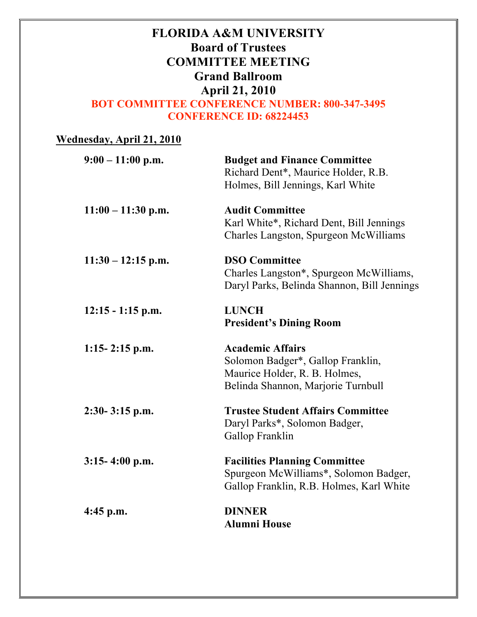# **FLORIDA A&M UNIVERSITY Board of Trustees COMMITTEE MEETING Grand Ballroom April 21, 2010 BOT COMMITTEE CONFERENCE NUMBER: 800-347-3495 CONFERENCE ID: 68224453**

| <b>Wednesday, April 21, 2010</b> |                                                                                                                                     |
|----------------------------------|-------------------------------------------------------------------------------------------------------------------------------------|
| $9:00 - 11:00$ p.m.              | <b>Budget and Finance Committee</b><br>Richard Dent*, Maurice Holder, R.B.<br>Holmes, Bill Jennings, Karl White                     |
| $11:00 - 11:30$ p.m.             | <b>Audit Committee</b><br>Karl White*, Richard Dent, Bill Jennings<br>Charles Langston, Spurgeon McWilliams                         |
| $11:30 - 12:15$ p.m.             | <b>DSO Committee</b><br>Charles Langston*, Spurgeon McWilliams,<br>Daryl Parks, Belinda Shannon, Bill Jennings                      |
| $12:15 - 1:15$ p.m.              | <b>LUNCH</b><br><b>President's Dining Room</b>                                                                                      |
| $1:15-2:15$ p.m.                 | <b>Academic Affairs</b><br>Solomon Badger*, Gallop Franklin,<br>Maurice Holder, R. B. Holmes,<br>Belinda Shannon, Marjorie Turnbull |
| $2:30-3:15$ p.m.                 | <b>Trustee Student Affairs Committee</b><br>Daryl Parks*, Solomon Badger,<br>Gallop Franklin                                        |
| $3:15-4:00$ p.m.                 | <b>Facilities Planning Committee</b><br>Spurgeon McWilliams*, Solomon Badger,<br>Gallop Franklin, R.B. Holmes, Karl White           |
| $4:45$ p.m.                      | <b>DINNER</b><br><b>Alumni House</b>                                                                                                |